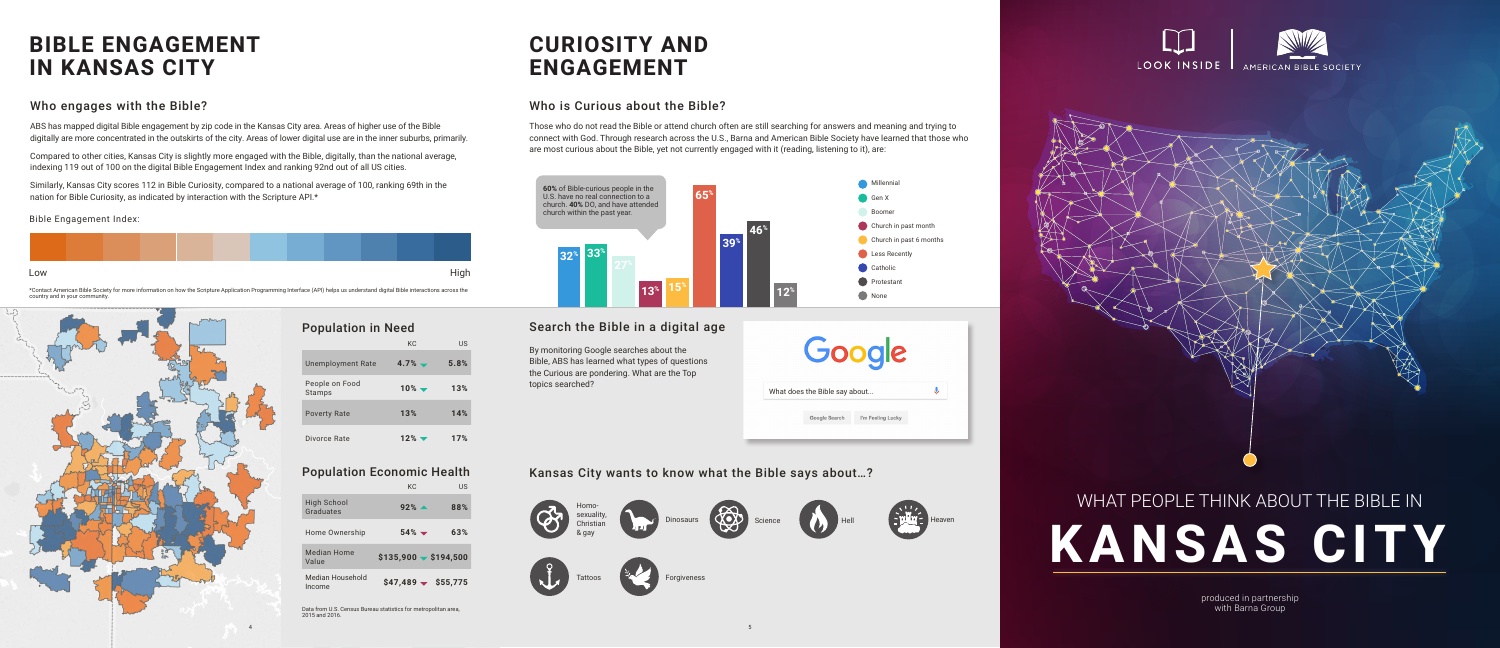produced in partnership with Barna Group



### Search the Bible in a digital age

### Kansas City wants to know what the Bible says about…?

### **CURIOSITY AND ENGAGEMENT**

## **BIBLE ENGAGEMENT IN KANSAS CITY**

Those who do not read the Bible or attend church often are still searching for answers and meaning and trying to connect with God. Through research across the U.S., Barna and American Bible Society have learned that those who are most curious about the Bible, yet not currently engaged with it (reading, listening to it), are:

ABS has mapped digital Bible engagement by zip code in the Kansas City area. Areas of higher use of the Bible digitally are more concentrated in the outskirts of the city. Areas of lower digital use are in the inner suburbs, primarily.

# WHAT PEOPLE THINK ABOUT THE BIBLE IN **KANSAS CITY**

Compared to other cities, Kansas City is slightly more engaged with the Bible, digitally, than the national average, indexing 119 out of 100 on the digital Bible Engagement Index and ranking 92nd out of all US cities.







\*Contact American Bible Society for more information on how the Scripture Application Programming Interface (API) helps us understand digital Bible interactions across the country and in your communit

Similarly, Kansas City scores 112 in Bible Curiosity, compared to a national average of 100, ranking 69th in the nation for Bible Curiosity, as indicated by interaction with the Scripture API.\*

> By monitoring Google searches about the Bible, ABS has learned what types of questions the Curious are pondering. What are the Top topics searched?

#### Who engages with the Bible? Who is Curious about the Bible?

#### Bible Engagement Index:







#### Population in Need

### Population Economic Health

Data from U.S. Census Bureau statistics for metropolitan area, 2015 and 2016.

|                          | KC.                          | US   |
|--------------------------|------------------------------|------|
| <b>Unemployment Rate</b> | $4.7%$ $\rightarrow$         | 5.8% |
| People on Food<br>Stamps | $10\%$ $\blacktriangleright$ | 13%  |
| <b>Poverty Rate</b>      | 13%                          | 14%  |
| Divorce Rate             | $12\%$ $\blacktriangledown$  | 17%  |

|                            | KC.                             | US  |
|----------------------------|---------------------------------|-----|
| High School<br>Graduates   | $92\%$ $\triangle$              | 88% |
| Home Ownership             | $54\%$ $\blacktriangledown$     | 63% |
| Median Home<br>Value       | $$135,900 \rightarrow $194,500$ |     |
| Median Household<br>Income | $$47,489 \rightarrow $55,775$   |     |